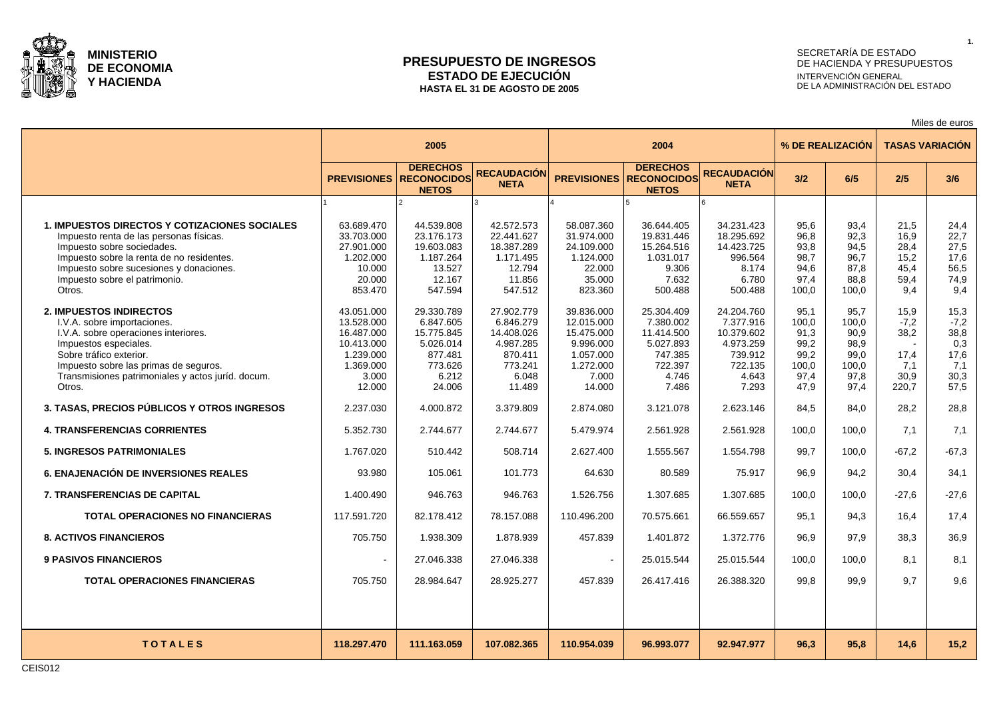

### **PRESUPUESTO DE INGRESOS ESTADO DE EJECUCIÓN HASTA EL 31 DE AGOSTO DE 2005**

## SECRETARÍA DE ESTADO DE HACIENDA Y PRESUPUESTOS INTERVENCIÓN GENERAL DE LA ADMINISTRACIÓN DEL ESTADO

Miles de euros

|                                                                                                                                                                                                                                                                   | 2005                                                                                              |                                                                                             |                                                                                             |                                                                                                  | 2004                                                                                       |                                                                                            |                                                                | % DE REALIZACIÓN                                               |                                                        | <b>TASAS VARIACIÓN</b>                                       |
|-------------------------------------------------------------------------------------------------------------------------------------------------------------------------------------------------------------------------------------------------------------------|---------------------------------------------------------------------------------------------------|---------------------------------------------------------------------------------------------|---------------------------------------------------------------------------------------------|--------------------------------------------------------------------------------------------------|--------------------------------------------------------------------------------------------|--------------------------------------------------------------------------------------------|----------------------------------------------------------------|----------------------------------------------------------------|--------------------------------------------------------|--------------------------------------------------------------|
|                                                                                                                                                                                                                                                                   | <b>PREVISIONES</b>                                                                                | <b>DERECHOS</b><br><b>RECONOCIDOS</b><br><b>NETOS</b>                                       | <b>RECAUDACIÓN</b><br><b>NETA</b>                                                           | <b>PREVISIONES</b>                                                                               | <b>DERECHOS</b><br><b>RECONOCIDOS</b><br><b>NETOS</b>                                      | <b>RECAUDACIÓN</b><br><b>NETA</b>                                                          | 3/2                                                            | 6/5                                                            | 2/5                                                    | 3/6                                                          |
|                                                                                                                                                                                                                                                                   |                                                                                                   |                                                                                             |                                                                                             |                                                                                                  |                                                                                            |                                                                                            |                                                                |                                                                |                                                        |                                                              |
| <b>1. IMPUESTOS DIRECTOS Y COTIZACIONES SOCIALES</b><br>Impuesto renta de las personas físicas.<br>Impuesto sobre sociedades.<br>Impuesto sobre la renta de no residentes.<br>Impuesto sobre sucesiones y donaciones.<br>Impuesto sobre el patrimonio.<br>Otros.  | 63.689.470<br>33.703.000<br>27.901.000<br>1.202.000<br>10.000<br>20.000<br>853.470                | 44.539.808<br>23.176.173<br>19.603.083<br>1.187.264<br>13.527<br>12.167<br>547.594          | 42.572.573<br>22.441.627<br>18.387.289<br>1.171.495<br>12.794<br>11.856<br>547.512          | 58.087.360<br>31.974.000<br>24.109.000<br>1.124.000<br>22.000<br>35.000<br>823.360               | 36.644.405<br>19.831.446<br>15.264.516<br>1.031.017<br>9.306<br>7.632<br>500.488           | 34.231.423<br>18.295.692<br>14.423.725<br>996.564<br>8.174<br>6.780<br>500.488             | 95,6<br>96,8<br>93,8<br>98,7<br>94,6<br>97,4<br>100,0          | 93,4<br>92,3<br>94,5<br>96,7<br>87,8<br>88,8<br>100.0          | 21,5<br>16,9<br>28,4<br>15,2<br>45,4<br>59,4<br>9.4    | 24,4<br>22,7<br>27,5<br>17,6<br>56,5<br>74,9<br>9.4          |
| <b>2. IMPUESTOS INDIRECTOS</b><br>I.V.A. sobre importaciones.<br>I.V.A. sobre operaciones interiores.<br>Impuestos especiales.<br>Sobre tráfico exterior.<br>Impuesto sobre las primas de seguros.<br>Transmisiones patrimoniales y actos juríd. docum.<br>Otros. | 43.051.000<br>13.528.000<br>16.487.000<br>10.413.000<br>1.239.000<br>1.369.000<br>3.000<br>12.000 | 29.330.789<br>6.847.605<br>15.775.845<br>5.026.014<br>877.481<br>773.626<br>6.212<br>24.006 | 27.902.779<br>6.846.279<br>14.408.026<br>4.987.285<br>870.411<br>773.241<br>6.048<br>11.489 | 39.836.000<br>12.015.000<br>15.475.000<br>9.996.000<br>1.057.000<br>1.272.000<br>7.000<br>14.000 | 25.304.409<br>7.380.002<br>11.414.500<br>5.027.893<br>747.385<br>722.397<br>4.746<br>7.486 | 24.204.760<br>7.377.916<br>10.379.602<br>4.973.259<br>739.912<br>722.135<br>4.643<br>7.293 | 95,1<br>100.0<br>91.3<br>99,2<br>99,2<br>100.0<br>97,4<br>47.9 | 95,7<br>100.0<br>90.9<br>98.9<br>99.0<br>100.0<br>97.8<br>97.4 | 15,9<br>$-7,2$<br>38,2<br>17.4<br>7.1<br>30.9<br>220.7 | 15,3<br>$-7,2$<br>38,8<br>0,3<br>17,6<br>7,1<br>30.3<br>57,5 |
| 3. TASAS, PRECIOS PÚBLICOS Y OTROS INGRESOS                                                                                                                                                                                                                       | 2.237.030                                                                                         | 4.000.872                                                                                   | 3.379.809                                                                                   | 2.874.080                                                                                        | 3.121.078                                                                                  | 2.623.146                                                                                  | 84,5                                                           | 84,0                                                           | 28,2                                                   | 28,8                                                         |
| <b>4. TRANSFERENCIAS CORRIENTES</b>                                                                                                                                                                                                                               | 5.352.730                                                                                         | 2.744.677                                                                                   | 2.744.677                                                                                   | 5.479.974                                                                                        | 2.561.928                                                                                  | 2.561.928                                                                                  | 100,0                                                          | 100.0                                                          | 7,1                                                    | 7,1                                                          |
| <b>5. INGRESOS PATRIMONIALES</b>                                                                                                                                                                                                                                  | 1.767.020                                                                                         | 510.442                                                                                     | 508.714                                                                                     | 2.627.400                                                                                        | 1.555.567                                                                                  | 1.554.798                                                                                  | 99.7                                                           | 100.0                                                          | $-67.2$                                                | $-67,3$                                                      |
| <b>6. ENAJENACIÓN DE INVERSIONES REALES</b>                                                                                                                                                                                                                       | 93.980                                                                                            | 105.061                                                                                     | 101.773                                                                                     | 64.630                                                                                           | 80.589                                                                                     | 75.917                                                                                     | 96.9                                                           | 94,2                                                           | 30.4                                                   | 34,1                                                         |
| <b>7. TRANSFERENCIAS DE CAPITAL</b>                                                                                                                                                                                                                               | 1.400.490                                                                                         | 946.763                                                                                     | 946.763                                                                                     | 1.526.756                                                                                        | 1.307.685                                                                                  | 1.307.685                                                                                  | 100.0                                                          | 100.0                                                          | $-27.6$                                                | $-27,6$                                                      |
| <b>TOTAL OPERACIONES NO FINANCIERAS</b>                                                                                                                                                                                                                           | 117.591.720                                                                                       | 82.178.412                                                                                  | 78.157.088                                                                                  | 110.496.200                                                                                      | 70.575.661                                                                                 | 66.559.657                                                                                 | 95.1                                                           | 94.3                                                           | 16.4                                                   | 17,4                                                         |
| <b>8. ACTIVOS FINANCIEROS</b>                                                                                                                                                                                                                                     | 705.750                                                                                           | 1.938.309                                                                                   | 1.878.939                                                                                   | 457.839                                                                                          | 1.401.872                                                                                  | 1.372.776                                                                                  | 96.9                                                           | 97.9                                                           | 38.3                                                   | 36,9                                                         |
| <b>9 PASIVOS FINANCIEROS</b>                                                                                                                                                                                                                                      | $\sim$                                                                                            | 27.046.338                                                                                  | 27.046.338                                                                                  | $\sim$                                                                                           | 25.015.544                                                                                 | 25.015.544                                                                                 | 100.0                                                          | 100.0                                                          | 8.1                                                    | 8,1                                                          |
| <b>TOTAL OPERACIONES FINANCIERAS</b>                                                                                                                                                                                                                              | 705.750                                                                                           | 28.984.647                                                                                  | 28.925.277                                                                                  | 457.839                                                                                          | 26.417.416                                                                                 | 26.388.320                                                                                 | 99.8                                                           | 99.9                                                           | 9.7                                                    | 9,6                                                          |
|                                                                                                                                                                                                                                                                   |                                                                                                   |                                                                                             |                                                                                             |                                                                                                  |                                                                                            |                                                                                            |                                                                |                                                                |                                                        |                                                              |
| <b>TOTALES</b>                                                                                                                                                                                                                                                    | 118.297.470                                                                                       | 111.163.059                                                                                 | 107.082.365                                                                                 | 110.954.039                                                                                      | 96.993.077                                                                                 | 92.947.977                                                                                 | 96.3                                                           | 95.8                                                           | 14.6                                                   | 15,2                                                         |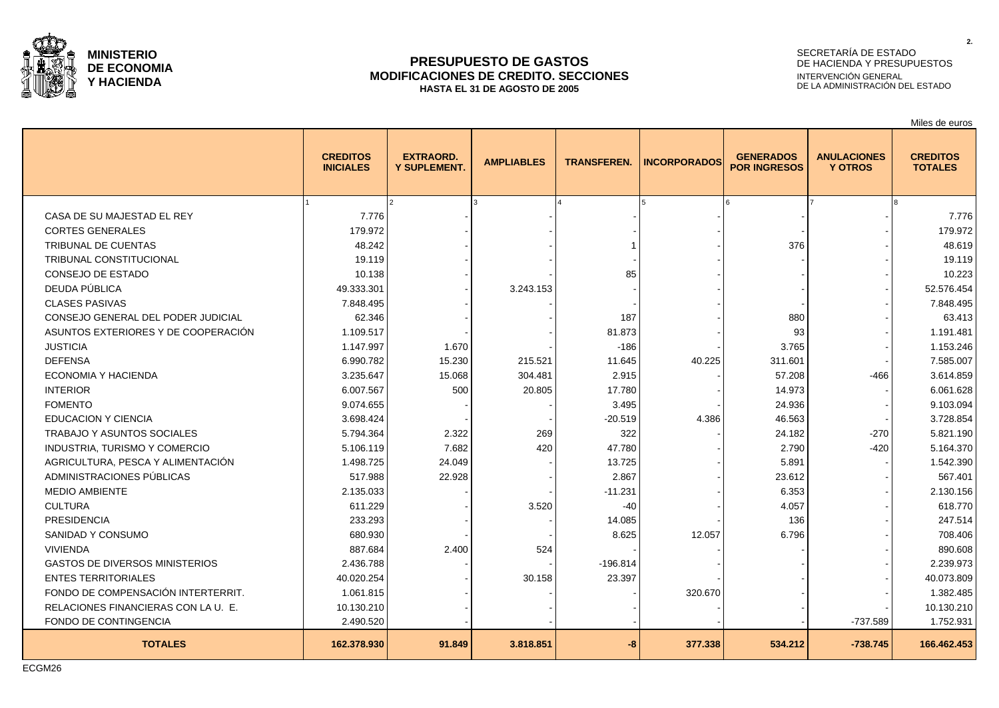

### **PRESUPUESTO DE GASTOS MODIFICACIONES DE CREDITO. SECCIONES HASTA EL 31 DE AGOSTO DE 2005**

## SECRETARÍA DE ESTADO DE HACIENDA Y PRESUPUESTOS INTERVENCIÓN GENERAL DE LA ADMINISTRACIÓN DEL ESTADO

Miles de euros

|                                       | <b>CREDITOS</b><br><b>INICIALES</b> | <b>EXTRAORD.</b><br><b>Y SUPLEMENT.</b> | <b>AMPLIABLES</b> | <b>TRANSFEREN.</b> | <b>INCORPORADOS</b> | <b>GENERADOS</b><br><b>POR INGRESOS</b> | <b>ANULACIONES</b><br><b>Y OTROS</b> | <b>CREDITOS</b><br><b>TOTALES</b> |
|---------------------------------------|-------------------------------------|-----------------------------------------|-------------------|--------------------|---------------------|-----------------------------------------|--------------------------------------|-----------------------------------|
|                                       |                                     |                                         |                   |                    |                     |                                         |                                      |                                   |
| CASA DE SU MAJESTAD EL REY            | 7.776                               |                                         |                   |                    |                     |                                         |                                      | 7.776                             |
| <b>CORTES GENERALES</b>               | 179.972                             |                                         |                   |                    |                     |                                         |                                      | 179.972                           |
| <b>TRIBUNAL DE CUENTAS</b>            | 48.242                              |                                         |                   |                    |                     | 376                                     |                                      | 48.619                            |
| <b>TRIBUNAL CONSTITUCIONAL</b>        | 19.119                              |                                         |                   |                    |                     |                                         |                                      | 19.119                            |
| CONSEJO DE ESTADO                     | 10.138                              |                                         |                   | 85                 |                     |                                         |                                      | 10.223                            |
| DEUDA PÚBLICA                         | 49.333.301                          |                                         | 3.243.153         |                    |                     |                                         |                                      | 52.576.454                        |
| <b>CLASES PASIVAS</b>                 | 7.848.495                           |                                         |                   |                    |                     |                                         |                                      | 7.848.495                         |
| CONSEJO GENERAL DEL PODER JUDICIAL    | 62.346                              |                                         |                   | 187                |                     | 880                                     |                                      | 63.413                            |
| ASUNTOS EXTERIORES Y DE COOPERACIÓN   | 1.109.517                           |                                         |                   | 81.873             |                     | 93                                      |                                      | 1.191.481                         |
| <b>JUSTICIA</b>                       | 1.147.997                           | 1.670                                   |                   | $-186$             |                     | 3.765                                   |                                      | 1.153.246                         |
| <b>DEFENSA</b>                        | 6.990.782                           | 15.230                                  | 215.521           | 11.645             | 40.225              | 311.601                                 |                                      | 7.585.007                         |
| ECONOMIA Y HACIENDA                   | 3.235.647                           | 15.068                                  | 304.481           | 2.915              |                     | 57.208                                  | -466                                 | 3.614.859                         |
| <b>INTERIOR</b>                       | 6.007.567                           | 500                                     | 20.805            | 17.780             |                     | 14.973                                  |                                      | 6.061.628                         |
| <b>FOMENTO</b>                        | 9.074.655                           |                                         |                   | 3.495              |                     | 24.936                                  |                                      | 9.103.094                         |
| <b>EDUCACION Y CIENCIA</b>            | 3.698.424                           |                                         |                   | $-20.519$          | 4.386               | 46.563                                  |                                      | 3.728.854                         |
| <b>TRABAJO Y ASUNTOS SOCIALES</b>     | 5.794.364                           | 2.322                                   | 269               | 322                |                     | 24.182                                  | $-270$                               | 5.821.190                         |
| INDUSTRIA, TURISMO Y COMERCIO         | 5.106.119                           | 7.682                                   | 420               | 47.780             |                     | 2.790                                   | $-420$                               | 5.164.370                         |
| AGRICULTURA, PESCA Y ALIMENTACIÓN     | 1.498.725                           | 24.049                                  |                   | 13.725             |                     | 5.891                                   |                                      | 1.542.390                         |
| ADMINISTRACIONES PÚBLICAS             | 517.988                             | 22.928                                  |                   | 2.867              |                     | 23.612                                  |                                      | 567.401                           |
| <b>MEDIO AMBIENTE</b>                 | 2.135.033                           |                                         |                   | $-11.231$          |                     | 6.353                                   |                                      | 2.130.156                         |
| <b>CULTURA</b>                        | 611.229                             |                                         | 3.520             | $-40$              |                     | 4.057                                   |                                      | 618.770                           |
| <b>PRESIDENCIA</b>                    | 233.293                             |                                         |                   | 14.085             |                     | 136                                     |                                      | 247.514                           |
| SANIDAD Y CONSUMO                     | 680.930                             |                                         |                   | 8.625              | 12.057              | 6.796                                   |                                      | 708.406                           |
| <b>VIVIENDA</b>                       | 887.684                             | 2.400                                   | 524               |                    |                     |                                         |                                      | 890.608                           |
| <b>GASTOS DE DIVERSOS MINISTERIOS</b> | 2.436.788                           |                                         |                   | $-196.814$         |                     |                                         |                                      | 2.239.973                         |
| <b>ENTES TERRITORIALES</b>            | 40.020.254                          |                                         | 30.158            | 23.397             |                     |                                         |                                      | 40.073.809                        |
| FONDO DE COMPENSACIÓN INTERTERRIT.    | 1.061.815                           |                                         |                   |                    | 320.670             |                                         |                                      | 1.382.485                         |
| RELACIONES FINANCIERAS CON LA U. E.   | 10.130.210                          |                                         |                   |                    |                     |                                         |                                      | 10.130.210                        |
| FONDO DE CONTINGENCIA                 | 2.490.520                           |                                         |                   |                    |                     |                                         | $-737.589$                           | 1.752.931                         |
| <b>TOTALES</b>                        | 162.378.930                         | 91.849                                  | 3.818.851         | -8                 | 377.338             | 534.212                                 | $-738.745$                           | 166.462.453                       |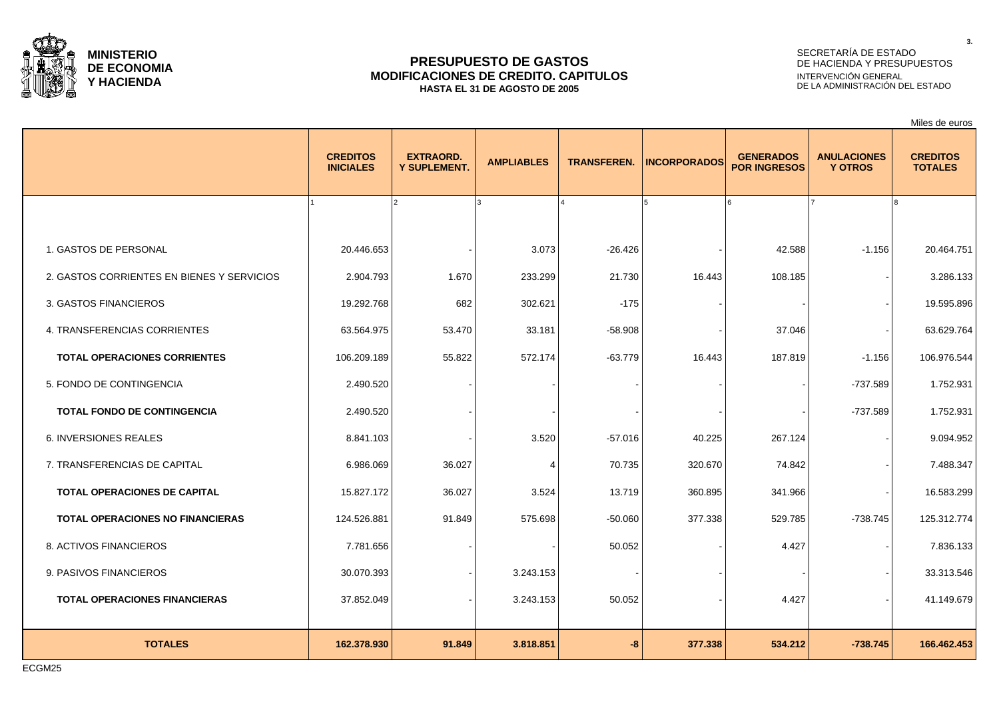

#### **PRESUPUESTO DE GASTOS MODIFICACIONES DE CREDITO. CAPITULOS HASTA EL 31 DE AGOSTO DE 2005**

#### SECRETARÍA DE ESTADO DE HACIENDA Y PRESUPUESTOS INTERVENCIÓN GENERAL DE LA ADMINISTRACIÓN DEL ESTADO

**CREDITOS INICIALES EXTRAORD. Y SUPLEMENT. AMPLIABLES TRANSFEREN. INCORPORADOS GENERADOS POR INGRESOS ANULACIONES Y OTROS CREDITOS TOTALES** 1 2 3 4 5 6 7 8 1. GASTOS DE PERSONAL 20.446.653 - 3.073 -26.426 - 42.588 -1.156 20.464.751 2. GASTOS CORRIENTES EN BIENES Y SERVICIOS  $\begin{array}{c|c} 2.904.793 & 1.670 & 233.299 & 21.730 & 16.443 & 108.185 \end{array}$ 3. GASTOS FINANCIEROS 19.292.768 | 682 | 302.621 | -175 | - | - | - | 19.595.896 4. TRANSFERENCIAS CORRIENTES 63.564.975 | 53.470 | 33.181 | -58.908 | - | 37.046 | 63.629.764 **TOTAL OPERACIONES CORRIENTES**  $\begin{array}{|l} \quad 106.209.189 \end{array}$  55.822 572.174 -63.779 16.443 187.819 -1.156 106.976.544 5. FONDO DE CONTINGENCIA 2.490.520 - - - - - -737.589 1.752.931 **TOTAL FONDO DE CONTINGENCIA** | 2.490.520 | - | - | - | - | - | - | -737.589 | 1.752.931 6. INVERSIONES REALES 8.841.103 - 3.520 -57.016 40.225 267.124 - 9.094.952 7. TRANSFERENCIAS DE CAPITAL 6.986.069 | 36.027 | 4 | 70.735 | 320.670 | 74.842 | 7.488.347 **TOTAL OPERACIONES DE CAPITAL 15.827.172 | 36.027 | 3.524 | 36.0.895 | 341.966 | 16.583.299 TOTAL OPERACIONES NO FINANCIERAS** | 124.526.881 91.849 575.698 -50.060 -50.060 377.338 529.785 -738.745 125.312.774 8. ACTIVOS FINANCIEROS 7.781.656 | - | 50.052 | - | 4.427 | - | 7.836.133 9. PASIVOS FINANCIEROS 30.070.393 - 3.243.153 - - - - 33.313.546 **TOTAL OPERACIONES FINANCIERAS**  $\begin{array}{|l} \text{37.852.049} \end{array}$   $\begin{array}{|l} \text{37.852.049} \end{array}$   $\begin{array}{|l} \text{41.149.679} \end{array}$ 

**TOTALES 162.378.930 91.849 3.818.851 -8 377.338 534.212 -738.745 166.462.453**

**3.**

Miles de euros

ECGM25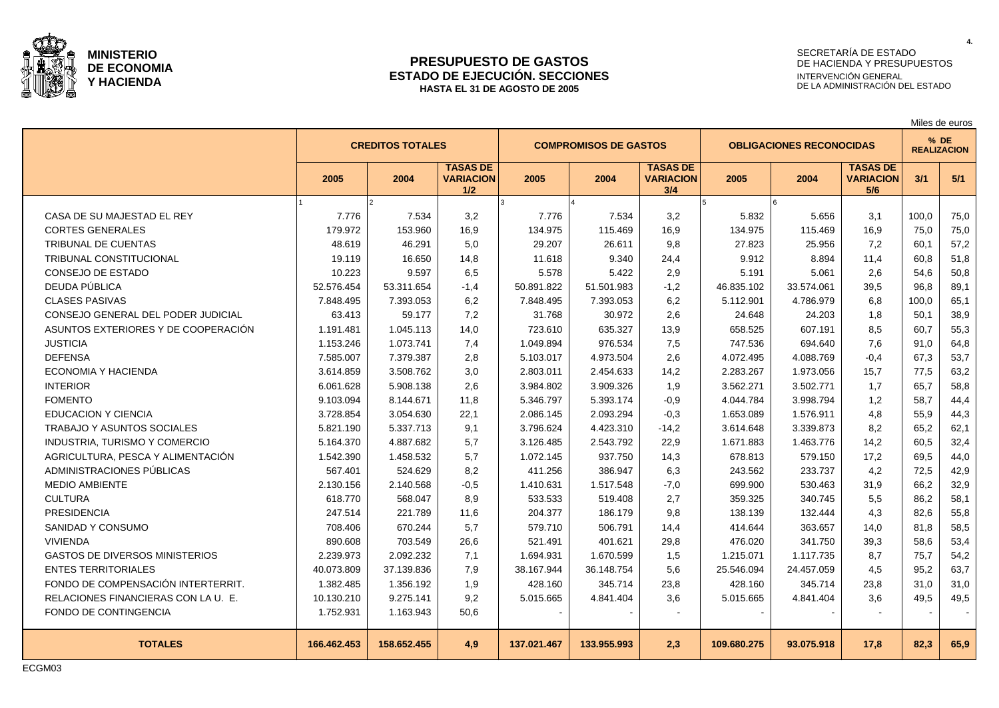

#### **PRESUPUESTO DE GASTOS ESTADO DE EJECUCIÓN. SECCIONES HASTA EL 31 DE AGOSTO DE 2005**

## SECRETARÍA DE ESTADO DE HACIENDA Y PRESUPUESTOS INTERVENCIÓN GENERAL DE LA ADMINISTRACIÓN DEL ESTADO

|                                       | <b>CREDITOS TOTALES</b> |             |                                            | <b>COMPROMISOS DE GASTOS</b> |             |                                            | <b>OBLIGACIONES RECONOCIDAS</b> |            |                                            |       | % DE<br><b>REALIZACION</b> |  |  |
|---------------------------------------|-------------------------|-------------|--------------------------------------------|------------------------------|-------------|--------------------------------------------|---------------------------------|------------|--------------------------------------------|-------|----------------------------|--|--|
|                                       | 2005                    | 2004        | <b>TASAS DE</b><br><b>VARIACION</b><br>1/2 | 2005                         | 2004        | <b>TASAS DE</b><br><b>VARIACION</b><br>3/4 | 2005                            | 2004       | <b>TASAS DE</b><br><b>VARIACION</b><br>5/6 | 3/1   | 5/1                        |  |  |
|                                       |                         |             |                                            |                              |             |                                            |                                 |            |                                            |       |                            |  |  |
| CASA DE SU MAJESTAD EL REY            | 7.776                   | 7.534       | 3,2                                        | 7.776                        | 7.534       | 3,2                                        | 5.832                           | 5.656      | 3,1                                        | 100.0 | 75,0                       |  |  |
| <b>CORTES GENERALES</b>               | 179.972                 | 153.960     | 16,9                                       | 134.975                      | 115.469     | 16.9                                       | 134.975                         | 115.469    | 16.9                                       | 75.0  | 75,0                       |  |  |
| <b>TRIBUNAL DE CUENTAS</b>            | 48.619                  | 46.291      | 5,0                                        | 29.207                       | 26.611      | 9,8                                        | 27.823                          | 25.956     | 7,2                                        | 60,1  | 57,2                       |  |  |
| TRIBUNAL CONSTITUCIONAL               | 19.119                  | 16.650      | 14,8                                       | 11.618                       | 9.340       | 24,4                                       | 9.912                           | 8.894      | 11,4                                       | 60,8  | 51,8                       |  |  |
| CONSEJO DE ESTADO                     | 10.223                  | 9.597       | 6,5                                        | 5.578                        | 5.422       | 2,9                                        | 5.191                           | 5.061      | 2,6                                        | 54,6  | 50,8                       |  |  |
| DEUDA PÚBLICA                         | 52.576.454              | 53.311.654  | $-1,4$                                     | 50.891.822                   | 51.501.983  | $-1,2$                                     | 46.835.102                      | 33.574.061 | 39,5                                       | 96,8  | 89,1                       |  |  |
| <b>CLASES PASIVAS</b>                 | 7.848.495               | 7.393.053   | 6,2                                        | 7.848.495                    | 7.393.053   | 6,2                                        | 5.112.901                       | 4.786.979  | 6,8                                        | 100,0 | 65,1                       |  |  |
| CONSEJO GENERAL DEL PODER JUDICIAL    | 63.413                  | 59.177      | 7,2                                        | 31.768                       | 30.972      | 2,6                                        | 24.648                          | 24.203     | 1,8                                        | 50.1  | 38,9                       |  |  |
| ASUNTOS EXTERIORES Y DE COOPERACIÓN   | 1.191.481               | 1.045.113   | 14,0                                       | 723.610                      | 635.327     | 13,9                                       | 658.525                         | 607.191    | 8,5                                        | 60.7  | 55,3                       |  |  |
| <b>JUSTICIA</b>                       | 1.153.246               | 1.073.741   | 7,4                                        | 1.049.894                    | 976.534     | 7,5                                        | 747.536                         | 694.640    | 7,6                                        | 91,0  | 64,8                       |  |  |
| <b>DEFENSA</b>                        | 7.585.007               | 7.379.387   | 2,8                                        | 5.103.017                    | 4.973.504   | 2,6                                        | 4.072.495                       | 4.088.769  | $-0.4$                                     | 67,3  | 53,7                       |  |  |
| <b>ECONOMIA Y HACIENDA</b>            | 3.614.859               | 3.508.762   | 3,0                                        | 2.803.011                    | 2.454.633   | 14,2                                       | 2.283.267                       | 1.973.056  | 15,7                                       | 77.5  | 63,2                       |  |  |
| <b>INTERIOR</b>                       | 6.061.628               | 5.908.138   | 2,6                                        | 3.984.802                    | 3.909.326   | 1,9                                        | 3.562.271                       | 3.502.771  | 1,7                                        | 65,7  | 58,8                       |  |  |
| <b>FOMENTO</b>                        | 9.103.094               | 8.144.671   | 11,8                                       | 5.346.797                    | 5.393.174   | $-0.9$                                     | 4.044.784                       | 3.998.794  | 1,2                                        | 58,7  | 44,4                       |  |  |
| <b>EDUCACION Y CIENCIA</b>            | 3.728.854               | 3.054.630   | 22,1                                       | 2.086.145                    | 2.093.294   | $-0,3$                                     | 1.653.089                       | 1.576.911  | 4,8                                        | 55,9  | 44,3                       |  |  |
| <b>TRABAJO Y ASUNTOS SOCIALES</b>     | 5.821.190               | 5.337.713   | 9,1                                        | 3.796.624                    | 4.423.310   | $-14,2$                                    | 3.614.648                       | 3.339.873  | 8,2                                        | 65,2  | 62,1                       |  |  |
| INDUSTRIA, TURISMO Y COMERCIO         | 5.164.370               | 4.887.682   | 5,7                                        | 3.126.485                    | 2.543.792   | 22,9                                       | 1.671.883                       | 1.463.776  | 14,2                                       | 60,5  | 32,4                       |  |  |
| AGRICULTURA. PESCA Y ALIMENTACIÓN     | 1.542.390               | 1.458.532   | 5,7                                        | 1.072.145                    | 937.750     | 14,3                                       | 678.813                         | 579.150    | 17,2                                       | 69.5  | 44,0                       |  |  |
| ADMINISTRACIONES PÚBLICAS             | 567.401                 | 524.629     | 8,2                                        | 411.256                      | 386.947     | 6,3                                        | 243.562                         | 233.737    | 4,2                                        | 72,5  | 42,9                       |  |  |
| <b>MEDIO AMBIENTE</b>                 | 2.130.156               | 2.140.568   | $-0,5$                                     | 1.410.631                    | 1.517.548   | $-7,0$                                     | 699.900                         | 530.463    | 31,9                                       | 66,2  | 32,9                       |  |  |
| <b>CULTURA</b>                        | 618.770                 | 568.047     | 8,9                                        | 533.533                      | 519.408     | 2,7                                        | 359.325                         | 340.745    | 5,5                                        | 86,2  | 58,1                       |  |  |
| <b>PRESIDENCIA</b>                    | 247.514                 | 221.789     | 11,6                                       | 204.377                      | 186.179     | 9,8                                        | 138.139                         | 132.444    | 4,3                                        | 82.6  | 55,8                       |  |  |
| SANIDAD Y CONSUMO                     | 708.406                 | 670.244     | 5,7                                        | 579.710                      | 506.791     | 14,4                                       | 414.644                         | 363.657    | 14,0                                       | 81.8  | 58,5                       |  |  |
| <b>VIVIENDA</b>                       | 890.608                 | 703.549     | 26,6                                       | 521.491                      | 401.621     | 29,8                                       | 476.020                         | 341.750    | 39,3                                       | 58,6  | 53,4                       |  |  |
| <b>GASTOS DE DIVERSOS MINISTERIOS</b> | 2.239.973               | 2.092.232   | 7,1                                        | 1.694.931                    | 1.670.599   | 1,5                                        | 1.215.071                       | 1.117.735  | 8,7                                        | 75,7  | 54,2                       |  |  |
| <b>ENTES TERRITORIALES</b>            | 40.073.809              | 37.139.836  | 7,9                                        | 38.167.944                   | 36.148.754  | 5,6                                        | 25.546.094                      | 24.457.059 | 4,5                                        | 95,2  | 63,7                       |  |  |
| FONDO DE COMPENSACIÓN INTERTERRIT.    | 1.382.485               | 1.356.192   | 1,9                                        | 428.160                      | 345.714     | 23,8                                       | 428.160                         | 345.714    | 23,8                                       | 31,0  | 31,0                       |  |  |
| RELACIONES FINANCIERAS CON LA U. E.   | 10.130.210              | 9.275.141   | 9,2                                        | 5.015.665                    | 4.841.404   | 3,6                                        | 5.015.665                       | 4.841.404  | 3,6                                        | 49.5  | 49,5                       |  |  |
| FONDO DE CONTINGENCIA                 | 1.752.931               | 1.163.943   | 50,6                                       |                              |             |                                            |                                 |            |                                            |       |                            |  |  |
| <b>TOTALES</b>                        | 166.462.453             | 158.652.455 | 4.9                                        | 137.021.467                  | 133.955.993 | 2,3                                        | 109.680.275                     | 93.075.918 | 17,8                                       | 82.3  | 65,9                       |  |  |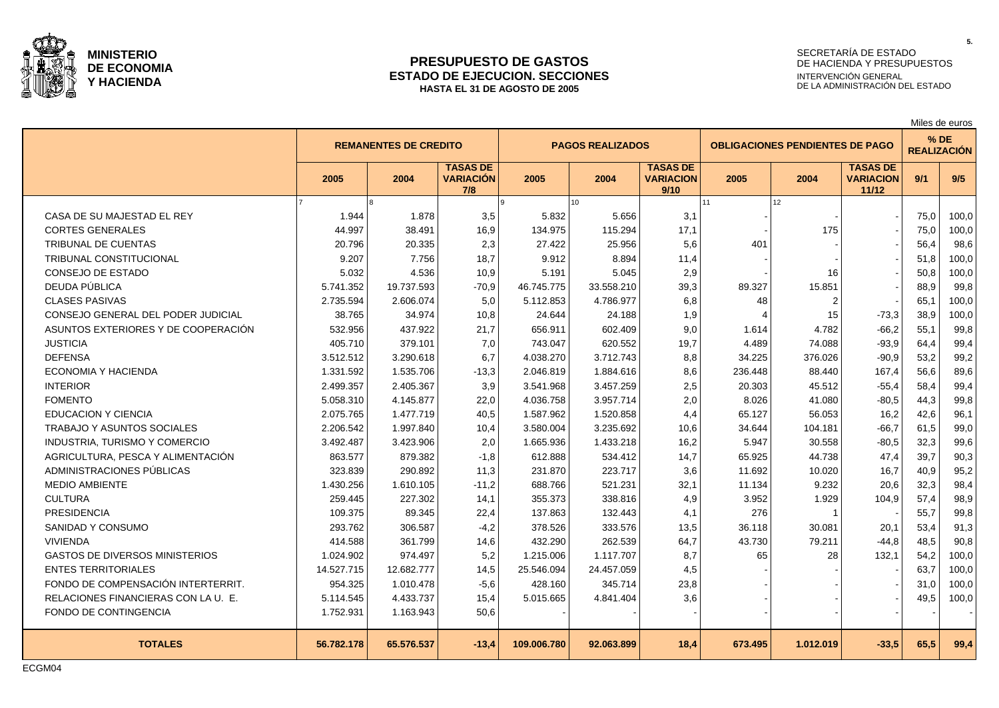

#### **PRESUPUESTO DE GASTOS ESTADO DE EJECUCION. SECCIONES HASTA EL 31 DE AGOSTO DE 2005**

## SECRETARÍA DE ESTADO DE HACIENDA Y PRESUPUESTOS INTERVENCIÓN GENERAL DE LA ADMINISTRACIÓN DEL ESTADO

Miles de euros

|                                       | <b>REMANENTES DE CREDITO</b> |            |                                            |             | <b>PAGOS REALIZADOS</b> |                                             |         | <b>OBLIGACIONES PENDIENTES DE PAGO</b> |                                              |      | $%$ DE<br><b>REALIZACIÓN</b> |
|---------------------------------------|------------------------------|------------|--------------------------------------------|-------------|-------------------------|---------------------------------------------|---------|----------------------------------------|----------------------------------------------|------|------------------------------|
|                                       | 2005                         | 2004       | <b>TASAS DE</b><br><b>VARIACIÓN</b><br>7/8 | 2005        | 2004                    | <b>TASAS DE</b><br><b>VARIACION</b><br>9/10 | 2005    | 2004                                   | <b>TASAS DE</b><br><b>VARIACION</b><br>11/12 | 9/1  | 9/5                          |
|                                       |                              |            |                                            |             | 10 <sup>10</sup>        |                                             | 11      | 12                                     |                                              |      |                              |
| CASA DE SU MAJESTAD EL REY            | 1.944                        | 1.878      | 3,5                                        | 5.832       | 5.656                   | 3,1                                         |         |                                        |                                              | 75,0 | 100,0                        |
| <b>CORTES GENERALES</b>               | 44.997                       | 38.491     | 16,9                                       | 134.975     | 115.294                 | 17,1                                        |         | 175                                    |                                              | 75,0 | 100,0                        |
| <b>TRIBUNAL DE CUENTAS</b>            | 20.796                       | 20.335     | 2,3                                        | 27.422      | 25.956                  | 5,6                                         | 401     |                                        |                                              | 56,4 | 98,6                         |
| TRIBUNAL CONSTITUCIONAL               | 9.207                        | 7.756      | 18,7                                       | 9.912       | 8.894                   | 11,4                                        |         |                                        |                                              | 51.8 | 100,0                        |
| CONSEJO DE ESTADO                     | 5.032                        | 4.536      | 10,9                                       | 5.191       | 5.045                   | 2,9                                         |         | 16                                     |                                              | 50,8 | 100,0                        |
| DEUDA PÚBLICA                         | 5.741.352                    | 19.737.593 | $-70,9$                                    | 46.745.775  | 33.558.210              | 39,3                                        | 89.327  | 15.851                                 |                                              | 88,9 | 99,8                         |
| <b>CLASES PASIVAS</b>                 | 2.735.594                    | 2.606.074  | 5,0                                        | 5.112.853   | 4.786.977               | 6,8                                         | 48      | 2                                      |                                              | 65,1 | 100,0                        |
| CONSEJO GENERAL DEL PODER JUDICIAL    | 38.765                       | 34.974     | 10,8                                       | 24.644      | 24.188                  | 1,9                                         |         | 15                                     | $-73,3$                                      | 38.9 | 100,0                        |
| ASUNTOS EXTERIORES Y DE COOPERACIÓN   | 532.956                      | 437.922    | 21,7                                       | 656.911     | 602.409                 | 9,0                                         | 1.614   | 4.782                                  | $-66,2$                                      | 55,1 | 99,8                         |
| <b>JUSTICIA</b>                       | 405.710                      | 379.101    | 7,0                                        | 743.047     | 620.552                 | 19,7                                        | 4.489   | 74.088                                 | $-93,9$                                      | 64.4 | 99,4                         |
| <b>DEFENSA</b>                        | 3.512.512                    | 3.290.618  | 6,7                                        | 4.038.270   | 3.712.743               | 8,8                                         | 34.225  | 376.026                                | $-90,9$                                      | 53.2 | 99,2                         |
| ECONOMIA Y HACIENDA                   | 1.331.592                    | 1.535.706  | $-13,3$                                    | 2.046.819   | 1.884.616               | 8,6                                         | 236.448 | 88.440                                 | 167,4                                        | 56,6 | 89,6                         |
| <b>INTERIOR</b>                       | 2.499.357                    | 2.405.367  | 3,9                                        | 3.541.968   | 3.457.259               | 2,5                                         | 20.303  | 45.512                                 | $-55,4$                                      | 58,4 | 99,4                         |
| <b>FOMENTO</b>                        | 5.058.310                    | 4.145.877  | 22,0                                       | 4.036.758   | 3.957.714               | 2,0                                         | 8.026   | 41.080                                 | $-80,5$                                      | 44,3 | 99,8                         |
| <b>EDUCACION Y CIENCIA</b>            | 2.075.765                    | 1.477.719  | 40,5                                       | 1.587.962   | 1.520.858               | 4,4                                         | 65.127  | 56.053                                 | 16,2                                         | 42,6 | 96,1                         |
| TRABAJO Y ASUNTOS SOCIALES            | 2.206.542                    | 1.997.840  | 10,4                                       | 3.580.004   | 3.235.692               | 10,6                                        | 34.644  | 104.181                                | $-66,7$                                      | 61,5 | 99,0                         |
| INDUSTRIA, TURISMO Y COMERCIO         | 3.492.487                    | 3.423.906  | 2,0                                        | 1.665.936   | 1.433.218               | 16,2                                        | 5.947   | 30.558                                 | $-80,5$                                      | 32,3 | 99,6                         |
| AGRICULTURA, PESCA Y ALIMENTACIÓN     | 863.577                      | 879.382    | $-1,8$                                     | 612.888     | 534.412                 | 14,7                                        | 65.925  | 44.738                                 | 47,4                                         | 39.7 | 90,3                         |
| ADMINISTRACIONES PÚBLICAS             | 323.839                      | 290.892    | 11,3                                       | 231.870     | 223.717                 | 3,6                                         | 11.692  | 10.020                                 | 16,7                                         | 40,9 | 95,2                         |
| <b>MEDIO AMBIENTE</b>                 | 1.430.256                    | 1.610.105  | $-11,2$                                    | 688.766     | 521.231                 | 32,1                                        | 11.134  | 9.232                                  | 20,6                                         | 32,3 | 98,4                         |
| <b>CULTURA</b>                        | 259.445                      | 227.302    | 14,1                                       | 355.373     | 338.816                 | 4,9                                         | 3.952   | 1.929                                  | 104,9                                        | 57,4 | 98,9                         |
| <b>PRESIDENCIA</b>                    | 109.375                      | 89.345     | 22,4                                       | 137.863     | 132.443                 | 4,1                                         | 276     |                                        |                                              | 55,7 | 99,8                         |
| SANIDAD Y CONSUMO                     | 293.762                      | 306.587    | $-4,2$                                     | 378.526     | 333.576                 | 13,5                                        | 36.118  | 30.081                                 | 20,1                                         | 53,4 | 91,3                         |
| <b>VIVIENDA</b>                       | 414.588                      | 361.799    | 14,6                                       | 432.290     | 262.539                 | 64,7                                        | 43.730  | 79.211                                 | $-44,8$                                      | 48,5 | 90,8                         |
| <b>GASTOS DE DIVERSOS MINISTERIOS</b> | 1.024.902                    | 974.497    | 5,2                                        | 1.215.006   | 1.117.707               | 8,7                                         | 65      | 28                                     | 132,1                                        | 54,2 | 100,0                        |
| <b>ENTES TERRITORIALES</b>            | 14.527.715                   | 12.682.777 | 14,5                                       | 25.546.094  | 24.457.059              | 4,5                                         |         |                                        |                                              | 63,7 | 100,0                        |
| FONDO DE COMPENSACIÓN INTERTERRIT.    | 954.325                      | 1.010.478  | $-5,6$                                     | 428.160     | 345.714                 | 23,8                                        |         |                                        |                                              | 31,0 | 100,0                        |
| RELACIONES FINANCIERAS CON LA U. E.   | 5.114.545                    | 4.433.737  | 15,4                                       | 5.015.665   | 4.841.404               | 3,6                                         |         |                                        |                                              | 49,5 | 100,0                        |
| FONDO DE CONTINGENCIA                 | 1.752.931                    | 1.163.943  | 50,6                                       |             |                         |                                             |         |                                        |                                              |      |                              |
| <b>TOTALES</b>                        | 56.782.178                   | 65.576.537 | $-13,4$                                    | 109.006.780 | 92.063.899              | 18,4                                        | 673.495 | 1.012.019                              | $-33.5$                                      | 65,5 | 99,4                         |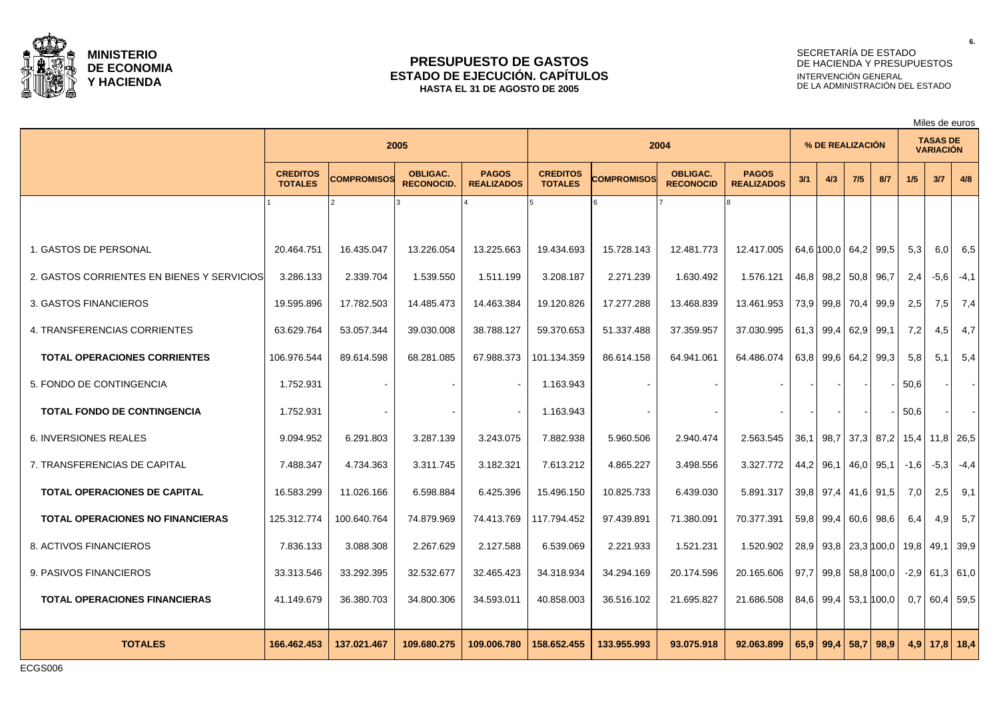

#### **PRESUPUESTO DE GASTOS ESTADO DE EJECUCIÓN. CAPÍTULOS HASTA EL 31 DE AGOSTO DE 2005**

## SECRETARÍA DE ESTADO DE HACIENDA Y PRESUPUESTOS INTERVENCIÓN GENERAL DE LA ADMINISTRACIÓN DEL ESTADO

Miles de euros

|                                            |                                   |                    | 2005                                 |                                   |                                   |             | 2004                                |                                   | % DE REALIZACIÓN |                           |     |                   | <b>TASAS DE</b><br><b>VARIACIÓN</b> |               |           |
|--------------------------------------------|-----------------------------------|--------------------|--------------------------------------|-----------------------------------|-----------------------------------|-------------|-------------------------------------|-----------------------------------|------------------|---------------------------|-----|-------------------|-------------------------------------|---------------|-----------|
|                                            | <b>CREDITOS</b><br><b>TOTALES</b> | <b>COMPROMISOS</b> | <b>OBLIGAC.</b><br><b>RECONOCID.</b> | <b>PAGOS</b><br><b>REALIZADOS</b> | <b>CREDITOS</b><br><b>TOTALES</b> | COMPROMISOS | <b>OBLIGAC.</b><br><b>RECONOCID</b> | <b>PAGOS</b><br><b>REALIZADOS</b> | 3/1              | 4/3                       | 7/5 | 8/7               | 1/5                                 | 3/7           | 4/8       |
|                                            |                                   | っ                  |                                      |                                   |                                   |             |                                     |                                   |                  |                           |     |                   |                                     |               |           |
| 1. GASTOS DE PERSONAL                      | 20.464.751                        | 16.435.047         | 13.226.054                           | 13.225.663                        | 19.434.693                        | 15.728.143  | 12.481.773                          | 12.417.005                        |                  | 64,6 100,0 64,2 99,5      |     |                   | 5,3                                 | 6,0           | 6,5       |
| 2. GASTOS CORRIENTES EN BIENES Y SERVICIOS | 3.286.133                         | 2.339.704          | 1.539.550                            | 1.511.199                         | 3.208.187                         | 2.271.239   | 1.630.492                           | 1.576.121                         |                  | 46,8 98,2 50,8 96,7       |     |                   | 2,4                                 | $-5,6$        | $-4,1$    |
| 3. GASTOS FINANCIEROS                      | 19.595.896                        | 17.782.503         | 14.485.473                           | 14.463.384                        | 19.120.826                        | 17.277.288  | 13.468.839                          | 13.461.953                        |                  | 73,9 99,8 70,4 99,9       |     |                   | 2,5                                 | 7,5           | 7,4       |
| 4. TRANSFERENCIAS CORRIENTES               | 63.629.764                        | 53.057.344         | 39.030.008                           | 38.788.127                        | 59.370.653                        | 51.337.488  | 37.359.957                          | 37.030.995                        |                  | 61,3 99,4 62,9 99,1       |     |                   | 7,2                                 | 4,5           | 4,7       |
| <b>TOTAL OPERACIONES CORRIENTES</b>        | 106.976.544                       | 89.614.598         | 68.281.085                           | 67.988.373                        | 101.134.359                       | 86.614.158  | 64.941.061                          | 64.486.074                        |                  | 63,8 99,6 64,2 99,3       |     |                   | 5,8                                 | 5,1           | 5,4       |
| 5. FONDO DE CONTINGENCIA                   | 1.752.931                         |                    |                                      | $\sim$                            | 1.163.943                         |             |                                     |                                   |                  |                           |     |                   | 50,6                                |               |           |
| <b>TOTAL FONDO DE CONTINGENCIA</b>         | 1.752.931                         |                    |                                      |                                   | 1.163.943                         |             |                                     | $\sim$                            |                  |                           |     |                   | 50,6                                |               |           |
| <b>6. INVERSIONES REALES</b>               | 9.094.952                         | 6.291.803          | 3.287.139                            | 3.243.075                         | 7.882.938                         | 5.960.506   | 2.940.474                           | 2.563.545                         | 36.1             | 98.7   37.3   87.2   15.4 |     |                   |                                     |               | 11,8 26,5 |
| 7. TRANSFERENCIAS DE CAPITAL               | 7.488.347                         | 4.734.363          | 3.311.745                            | 3.182.321                         | 7.613.212                         | 4.865.227   | 3.498.556                           | 3.327.772                         |                  | 44,2 96,1 46,0 95,1       |     |                   | $-1,6$                              | $-5,3$        | $-4,4$    |
| <b>TOTAL OPERACIONES DE CAPITAL</b>        | 16.583.299                        | 11.026.166         | 6.598.884                            | 6.425.396                         | 15.496.150                        | 10.825.733  | 6.439.030                           | 5.891.317                         |                  | 39,8 97,4 41,6 91,5       |     |                   | 7,0                                 | 2,5           | 9,1       |
| <b>TOTAL OPERACIONES NO FINANCIERAS</b>    | 125.312.774                       | 100.640.764        | 74.879.969                           | 74.413.769                        | 117.794.452                       | 97.439.891  | 71.380.091                          | 70.377.391                        |                  | 59,8 99,4 60,6 98,6       |     |                   | 6.4                                 | 4,9           | 5.7       |
| 8. ACTIVOS FINANCIEROS                     | 7.836.133                         | 3.088.308          | 2.267.629                            | 2.127.588                         | 6.539.069                         | 2.221.933   | 1.521.231                           | 1.520.902                         |                  | 28,9 93,8 23,3 100,0      |     |                   | 19,8                                | 49,1          | 39.9      |
| 9. PASIVOS FINANCIEROS                     | 33.313.546                        | 33.292.395         | 32.532.677                           | 32.465.423                        | 34.318.934                        | 34.294.169  | 20.174.596                          | 20.165.606                        | 97,7             |                           |     | $99,8$ 58,8 100,0 | $-2,9$                              | $61,3$ 61,0   |           |
| <b>TOTAL OPERACIONES FINANCIERAS</b>       | 41.149.679                        | 36.380.703         | 34.800.306                           | 34.593.011                        | 40.858.003                        | 36.516.102  | 21.695.827                          | 21.686.508                        |                  | 84,6 99,4 53,1 100,0      |     |                   | 0,7                                 | $60,4$ 59,5   |           |
| <b>TOTALES</b>                             | 166.462.453                       | 137.021.467        | 109.680.275                          | 109.006.780                       | 158.652.455                       | 133.955.993 | 93.075.918                          | 92.063.899                        |                  | $65,9$ 99,4 58,7          |     | 98.9              | 4.9                                 | $17,8$   18,4 |           |

ECGS006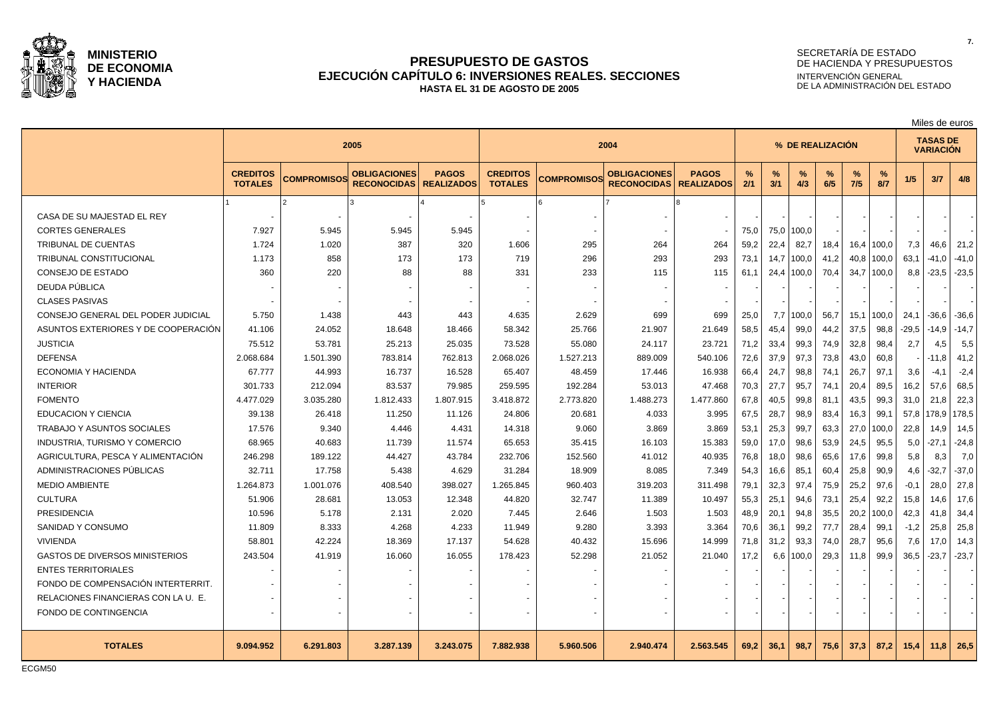

### **PRESUPUESTO DE GASTOS EJECUCIÓN CAPÍTULO 6: INVERSIONES REALES. SECCIONES HASTA EL 31 DE AGOSTO DE 2005**

# SECRETARÍA DE ESTADO DE HACIENDA Y PRESUPUESTOS INTERVENCIÓN GENERAL DE LA ADMINISTRACIÓN DEL ESTADO

Miles de euros

|                                       | 2005                              |                    |                                           |                                   |                                   |                    | 2004                                      |                                   | % DE REALIZACION |          |             |      |          | <b>TASAS DE</b><br><b>VARIACIÓN</b> |         |         |         |
|---------------------------------------|-----------------------------------|--------------------|-------------------------------------------|-----------------------------------|-----------------------------------|--------------------|-------------------------------------------|-----------------------------------|------------------|----------|-------------|------|----------|-------------------------------------|---------|---------|---------|
|                                       | <b>CREDITOS</b><br><b>TOTALES</b> | <b>COMPROMISOS</b> | <b>OBLIGACIONES</b><br><b>RECONOCIDAS</b> | <b>PAGOS</b><br><b>REALIZADOS</b> | <b>CREDITOS</b><br><b>TOTALES</b> | <b>COMPROMISOS</b> | <b>OBLIGACIONES</b><br><b>RECONOCIDAS</b> | <b>PAGOS</b><br><b>REALIZADOS</b> | %<br>2/1         | %<br>3/1 | $\%$<br>4/3 | 6/5  | %<br>7/5 | %<br>8/7                            | 1/5     | 3/7     | 4/8     |
|                                       |                                   |                    |                                           |                                   |                                   |                    |                                           |                                   |                  |          |             |      |          |                                     |         |         |         |
| CASA DE SU MAJESTAD EL REY            |                                   |                    |                                           |                                   |                                   |                    |                                           |                                   |                  |          |             |      |          |                                     |         |         |         |
| <b>CORTES GENERALES</b>               | 7.927                             | 5.945              | 5.945                                     | 5.945                             |                                   |                    |                                           |                                   | 75,0             | 75,0     | 100,0       |      |          |                                     |         |         |         |
| <b>TRIBUNAL DE CUENTAS</b>            | 1.724                             | 1.020              | 387                                       | 320                               | 1.606                             | 295                | 264                                       | 264                               | 59,2             | 22,4     | 82,7        | 18,4 | 16,4     | 100,0                               | 7,3     | 46.6    | 21,2    |
| <b>TRIBUNAL CONSTITUCIONAL</b>        | 1.173                             | 858                | 173                                       | 173                               | 719                               | 296                | 293                                       | 293                               | 73,1             | 14,7     | 100,0       | 41,2 | 40,8     | 100,0                               | 63,1    | $-41.0$ | $-41.0$ |
| CONSEJO DE ESTADO                     | 360                               | 220                | 88                                        | 88                                | 331                               | 233                | 115                                       | 115                               | 61.1             | 24,4     | 100,0       | 70,4 |          | $34.7$   100.0                      | 8,8     | $-23.5$ | $-23.5$ |
| DEUDA PÚBLICA                         |                                   |                    |                                           |                                   |                                   |                    |                                           |                                   |                  |          |             |      |          |                                     |         |         |         |
| <b>CLASES PASIVAS</b>                 |                                   |                    |                                           |                                   |                                   |                    |                                           |                                   |                  |          |             |      |          |                                     |         |         |         |
| CONSEJO GENERAL DEL PODER JUDICIAL    | 5.750                             | 1.438              | 443                                       | 443                               | 4.635                             | 2.629              | 699                                       | 699                               | 25,0             | 7,7      | 100,0       | 56,7 | 15,1     | 100,0                               | 24,1    | -36,6   | $-36,6$ |
| ASUNTOS EXTERIORES Y DE COOPERACIÓN   | 41.106                            | 24.052             | 18.648                                    | 18.466                            | 58.342                            | 25.766             | 21.907                                    | 21.649                            | 58,5             | 45,4     | 99,0        | 44,2 | 37,5     | 98,8                                | $-29,5$ | $-14,9$ | $-14,7$ |
| <b>JUSTICIA</b>                       | 75.512                            | 53.781             | 25.213                                    | 25.035                            | 73.528                            | 55.080             | 24.117                                    | 23.721                            | 71,2             | 33,4     | 99,3        | 74,9 | 32,8     | 98,4                                | 2,7     | 4,5     | 5,5     |
| <b>DEFENSA</b>                        | 2.068.684                         | 1.501.390          | 783.814                                   | 762.813                           | 2.068.026                         | 1.527.213          | 889.009                                   | 540.106                           | 72,6             | 37,9     | 97,3        | 73,8 | 43,0     | 60,8                                |         | $-11,8$ | 41,2    |
| ECONOMIA Y HACIENDA                   | 67.777                            | 44.993             | 16.737                                    | 16.528                            | 65.407                            | 48.459             | 17.446                                    | 16.938                            | 66,4             | 24,7     | 98,8        | 74,1 | 26,7     | 97.1                                | 3,6     | $-4.1$  | $-2,4$  |
| <b>INTERIOR</b>                       | 301.733                           | 212.094            | 83.537                                    | 79.985                            | 259.595                           | 192.284            | 53.013                                    | 47.468                            | 70,3             | 27,7     | 95,7        | 74,1 | 20,4     | 89.5                                | 16,2    | 57.6    | 68.5    |
| <b>FOMENTO</b>                        | 4.477.029                         | 3.035.280          | 1.812.433                                 | 1.807.915                         | 3.418.872                         | 2.773.820          | 1.488.273                                 | 1.477.860                         | 67,8             | 40,5     | 99,8        | 81,1 | 43,5     | 99,3                                | 31,0    | 21,8    | 22,3    |
| EDUCACION Y CIENCIA                   | 39.138                            | 26.418             | 11.250                                    | 11.126                            | 24.806                            | 20.681             | 4.033                                     | 3.995                             | 67,5             | 28,7     | 98,9        | 83,4 | 16,3     | 99,1                                | 57,8    | 178,9   | 178,5   |
| TRABAJO Y ASUNTOS SOCIALES            | 17.576                            | 9.340              | 4.446                                     | 4.431                             | 14.318                            | 9.060              | 3.869                                     | 3.869                             | 53,1             | 25,3     | 99,7        | 63,3 | 27,0     | 100,0                               | 22,8    | 14,9    | 14,5    |
| INDUSTRIA, TURISMO Y COMERCIO         | 68.965                            | 40.683             | 11.739                                    | 11.574                            | 65.653                            | 35.415             | 16.103                                    | 15.383                            | 59,0             | 17,0     | 98,6        | 53,9 | 24,5     | 95,5                                | 5,0     | $-27,1$ | $-24,8$ |
| AGRICULTURA. PESCA Y ALIMENTACIÓN     | 246.298                           | 189.122            | 44.427                                    | 43.784                            | 232.706                           | 152.560            | 41.012                                    | 40.935                            | 76,8             | 18,0     | 98,6        | 65,6 | 17,6     | 99.8                                | 5,8     | 8,3     | 7,0     |
| ADMINISTRACIONES PÚBLICAS             | 32.711                            | 17.758             | 5.438                                     | 4.629                             | 31.284                            | 18.909             | 8.085                                     | 7.349                             | 54,3             | 16,6     | 85,1        | 60,4 | 25,8     | 90,9                                | 4,6     | $-32,7$ | $-37,0$ |
| <b>MEDIO AMBIENTE</b>                 | 1.264.873                         | 1.001.076          | 408.540                                   | 398.027                           | 1.265.845                         | 960.403            | 319.203                                   | 311.498                           | 79,1             | 32,3     | 97,4        | 75,9 | 25,2     | 97,6                                | $-0,1$  | 28,0    | 27,8    |
| <b>CULTURA</b>                        | 51.906                            | 28.681             | 13.053                                    | 12.348                            | 44.820                            | 32.747             | 11.389                                    | 10.497                            | 55,3             | 25,1     | 94,6        | 73,1 | 25,4     | 92,2                                | 15,8    | 14,6    | 17,6    |
| <b>PRESIDENCIA</b>                    | 10.596                            | 5.178              | 2.131                                     | 2.020                             | 7.445                             | 2.646              | 1.503                                     | 1.503                             | 48,9             | 20,1     | 94,8        | 35,5 | 20,2     | 100,0                               | 42,3    | 41,8    | 34,4    |
| SANIDAD Y CONSUMO                     | 11.809                            | 8.333              | 4.268                                     | 4.233                             | 11.949                            | 9.280              | 3.393                                     | 3.364                             | 70,6             | 36,1     | 99,2        | 77,7 | 28,4     | 99,1                                | $-1,2$  | 25,8    | 25,8    |
| <b>VIVIENDA</b>                       | 58.801                            | 42.224             | 18.369                                    | 17.137                            | 54.628                            | 40.432             | 15.696                                    | 14.999                            | 71,8             | 31,2     | 93,3        | 74,0 | 28,7     | 95,6                                | 7,6     | 17,0    | 14,3    |
| <b>GASTOS DE DIVERSOS MINISTERIOS</b> | 243.504                           | 41.919             | 16.060                                    | 16.055                            | 178.423                           | 52.298             | 21.052                                    | 21.040                            | 17,2             | 6,6      | 100,0       | 29,3 | 11,8     | 99,9                                | 36,5    | $-23,7$ | $-23,7$ |
| <b>ENTES TERRITORIALES</b>            |                                   |                    |                                           |                                   |                                   |                    |                                           |                                   |                  |          |             |      |          |                                     |         |         |         |
| FONDO DE COMPENSACIÓN INTERTERRIT.    |                                   |                    |                                           |                                   |                                   |                    |                                           |                                   |                  |          |             |      |          |                                     |         |         |         |
| RELACIONES FINANCIERAS CON LA U. E.   |                                   |                    |                                           |                                   |                                   |                    |                                           |                                   |                  |          |             |      |          |                                     |         |         |         |
| FONDO DE CONTINGENCIA                 | $\overline{\phantom{a}}$          |                    | $\sim$                                    |                                   |                                   |                    | $\overline{\phantom{a}}$                  |                                   |                  |          |             |      |          |                                     |         |         |         |
| <b>TOTALES</b>                        | 9.094.952                         | 6.291.803          | 3.287.139                                 | 3.243.075                         | 7.882.938                         | 5.960.506          | 2.940.474                                 | 2.563.545                         | 69,2             | 36,1     | 98,7        | 75,6 | 37,3     | 87.2                                | 15,4    | 11,8    | 26,5    |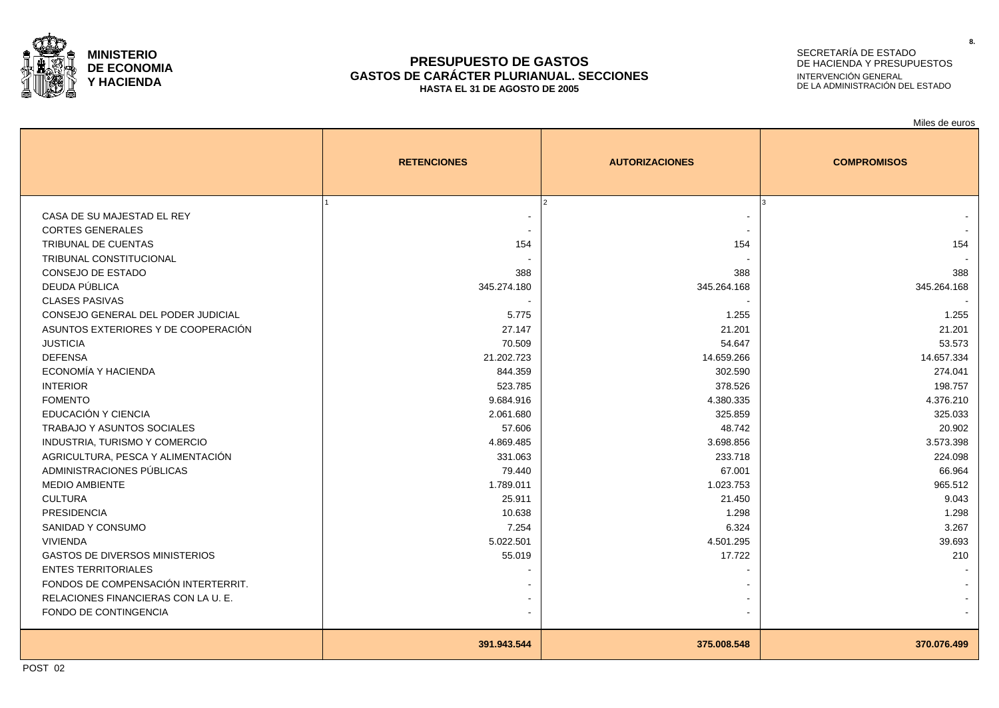

#### **PRESUPUESTO DE GASTOS GASTOS DE CARÁCTER PLURIANUAL. SECCIONES HASTA EL 31 DE AGOSTO DE 2005**

# SECRETARÍA DE ESTADO DE HACIENDA Y PRESUPUESTOS INTERVENCIÓN GENERAL DE LA ADMINISTRACIÓN DEL ESTADO

Miles de euros

|                                       | <b>RETENCIONES</b>       | <b>AUTORIZACIONES</b> | <b>COMPROMISOS</b> |
|---------------------------------------|--------------------------|-----------------------|--------------------|
| CASA DE SU MAJESTAD EL REY            |                          |                       | ا ?                |
| <b>CORTES GENERALES</b>               |                          |                       |                    |
| TRIBUNAL DE CUENTAS                   | 154                      | 154                   | 154                |
| TRIBUNAL CONSTITUCIONAL               |                          |                       |                    |
| CONSEJO DE ESTADO                     | 388                      | 388                   | 388                |
| DEUDA PÚBLICA                         | 345.274.180              | 345.264.168           | 345.264.168        |
| <b>CLASES PASIVAS</b>                 | $\overline{\phantom{a}}$ |                       |                    |
| CONSEJO GENERAL DEL PODER JUDICIAL    | 5.775                    | 1.255                 | 1.255              |
| ASUNTOS EXTERIORES Y DE COOPERACIÓN   | 27.147                   | 21.201                | 21.201             |
| <b>JUSTICIA</b>                       | 70.509                   | 54.647                | 53.573             |
| <b>DEFENSA</b>                        | 21.202.723               | 14.659.266            | 14.657.334         |
| ECONOMÍA Y HACIENDA                   | 844.359                  | 302.590               | 274.041            |
| <b>INTERIOR</b>                       | 523.785                  | 378.526               | 198.757            |
| <b>FOMENTO</b>                        | 9.684.916                | 4.380.335             | 4.376.210          |
| EDUCACIÓN Y CIENCIA                   | 2.061.680                | 325.859               | 325.033            |
| TRABAJO Y ASUNTOS SOCIALES            | 57.606                   | 48.742                | 20.902             |
| INDUSTRIA, TURISMO Y COMERCIO         | 4.869.485                | 3.698.856             | 3.573.398          |
| AGRICULTURA, PESCA Y ALIMENTACIÓN     | 331.063                  | 233.718               | 224.098            |
| ADMINISTRACIONES PÚBLICAS             | 79.440                   | 67.001                | 66.964             |
| <b>MEDIO AMBIENTE</b>                 | 1.789.011                | 1.023.753             | 965.512            |
| <b>CULTURA</b>                        | 25.911                   | 21.450                | 9.043              |
| <b>PRESIDENCIA</b>                    | 10.638                   | 1.298                 | 1.298              |
| SANIDAD Y CONSUMO                     | 7.254                    | 6.324                 | 3.267              |
| <b>VIVIENDA</b>                       | 5.022.501                | 4.501.295             | 39.693             |
| <b>GASTOS DE DIVERSOS MINISTERIOS</b> | 55.019                   | 17.722                | 210                |
| <b>ENTES TERRITORIALES</b>            |                          |                       |                    |
| FONDOS DE COMPENSACIÓN INTERTERRIT.   |                          |                       |                    |
| RELACIONES FINANCIERAS CON LA U. E.   |                          |                       |                    |
| FONDO DE CONTINGENCIA                 |                          |                       |                    |
|                                       | 391.943.544              | 375.008.548           | 370.076.499        |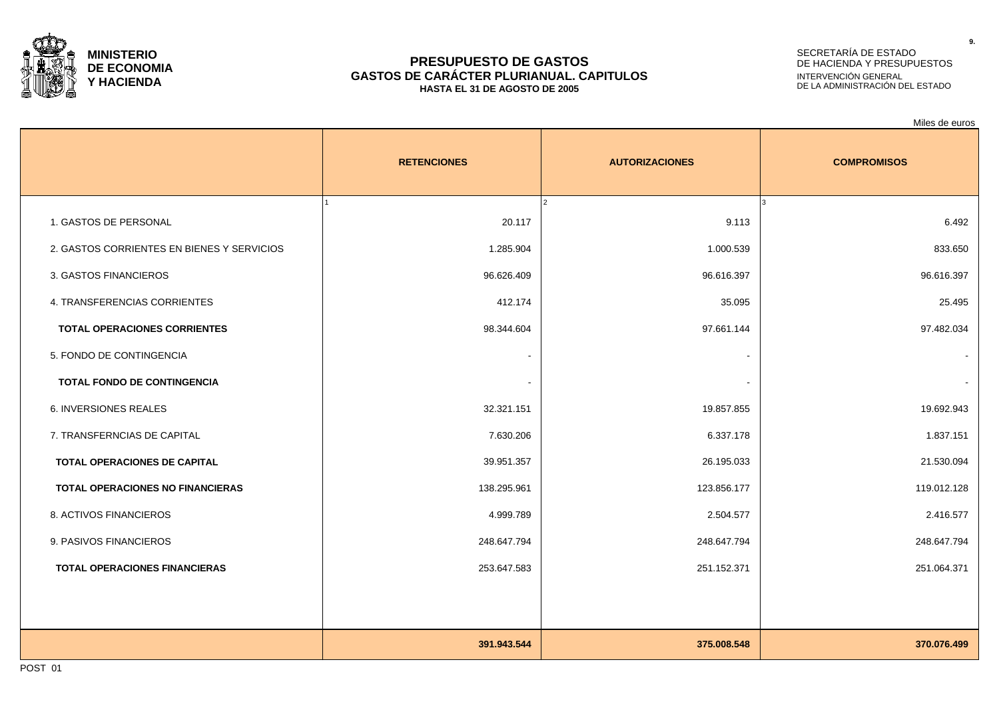

#### **PRESUPUESTO DE GASTOS GASTOS DE CARÁCTER PLURIANUAL. CAPITULOS HASTA EL 31 DE AGOSTO DE 2005**

## SECRETARÍA DE ESTADO DE HACIENDA Y PRESUPUESTOS INTERVENCIÓN GENERAL DE LA ADMINISTRACIÓN DEL ESTADO

|                                            |                    |                       | Miles de euros           |
|--------------------------------------------|--------------------|-----------------------|--------------------------|
|                                            | <b>RETENCIONES</b> | <b>AUTORIZACIONES</b> | <b>COMPROMISOS</b>       |
| 1. GASTOS DE PERSONAL                      | 20.117             | 9.113                 | 6.492                    |
| 2. GASTOS CORRIENTES EN BIENES Y SERVICIOS | 1.285.904          | 1.000.539             | 833.650                  |
| 3. GASTOS FINANCIEROS                      | 96.626.409         | 96.616.397            | 96.616.397               |
| 4. TRANSFERENCIAS CORRIENTES               | 412.174            | 35.095                | 25.495                   |
| <b>TOTAL OPERACIONES CORRIENTES</b>        | 98.344.604         | 97.661.144            | 97.482.034               |
| 5. FONDO DE CONTINGENCIA                   | $\sim$             |                       | $\overline{\phantom{a}}$ |
| TOTAL FONDO DE CONTINGENCIA                | $\blacksquare$     |                       |                          |
| <b>6. INVERSIONES REALES</b>               | 32.321.151         | 19.857.855            | 19.692.943               |
| 7. TRANSFERNCIAS DE CAPITAL                | 7.630.206          | 6.337.178             | 1.837.151                |
| TOTAL OPERACIONES DE CAPITAL               | 39.951.357         | 26.195.033            | 21.530.094               |
| <b>TOTAL OPERACIONES NO FINANCIERAS</b>    | 138.295.961        | 123.856.177           | 119.012.128              |
| 8. ACTIVOS FINANCIEROS                     | 4.999.789          | 2.504.577             | 2.416.577                |
| 9. PASIVOS FINANCIEROS                     | 248.647.794        | 248.647.794           | 248.647.794              |
| <b>TOTAL OPERACIONES FINANCIERAS</b>       | 253.647.583        | 251.152.371           | 251.064.371              |
|                                            |                    |                       |                          |
|                                            |                    |                       |                          |
|                                            | 391.943.544        | 375.008.548           | 370.076.499              |